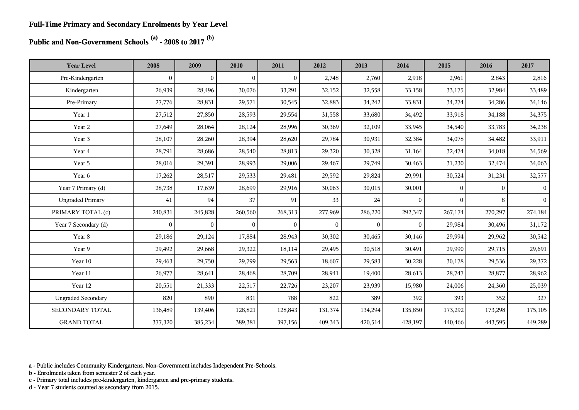**Public and Non-Government Schools (a) - 2008 to 2017 (b)**

| <b>Year Level</b>         | 2008           | 2009           | 2010         | 2011         | 2012         | 2013         | 2014             | 2015         | 2016         | 2017            |
|---------------------------|----------------|----------------|--------------|--------------|--------------|--------------|------------------|--------------|--------------|-----------------|
| Pre-Kindergarten          | $\overline{0}$ | $\mathbf{0}$   | $\Omega$     | $\Omega$     | 2,748        | 2,760        | 2,918            | 2,961        | 2,843        | 2,816           |
| Kindergarten              | 26,939         | 28,496         | 30,076       | 33,291       | 32,152       | 32,558       | 33,158           | 33,175       | 32,984       | 33,489          |
| Pre-Primary               | 27,776         | 28,831         | 29,571       | 30,545       | 32,883       | 34,242       | 33,831           | 34,274       | 34,286       | 34,146          |
| Year 1                    | 27,512         | 27,850         | 28,593       | 29,554       | 31,558       | 33,680       | 34,492           | 33,918       | 34,188       | 34,375          |
| Year 2                    | 27,649         | 28,064         | 28,124       | 28,996       | 30,369       | 32,109       | 33,945           | 34,540       | 33,783       | 34,238          |
| Year 3                    | 28,107         | 28,260         | 28,394       | 28,620       | 29,784       | 30,931       | 32,384           | 34,078       | 34,482       | 33,911          |
| Year 4                    | 28,791         | 28,686         | 28,540       | 28,813       | 29,320       | 30,328       | 31,164           | 32,474       | 34,018       | 34,569          |
| Year 5                    | 28,016         | 29,391         | 28,993       | 29,006       | 29,467       | 29,749       | 30,463           | 31,230       | 32,474       | 34,063          |
| Year 6                    | 17,262         | 28,517         | 29,533       | 29,481       | 29,592       | 29,824       | 29,991           | 30,524       | 31,231       | 32,577          |
| Year 7 Primary (d)        | 28,738         | 17,639         | 28,699       | 29,916       | 30,063       | 30,015       | 30,001           | $\mathbf{0}$ | $\mathbf{0}$ | $\vert 0 \vert$ |
| <b>Ungraded Primary</b>   | 41             | 94             | 37           | 91           | 33           | 24           | $\mathbf{0}$     | $\mathbf{0}$ | 8            | $\overline{0}$  |
| PRIMARY TOTAL (c)         | 240,831        | 245,828        | 260,560      | 268,313      | 277,969      | 286,220      | 292,347          | 267,174      | 270,297      | 274,184         |
| Year 7 Secondary (d)      | $\mathbf{0}$   | $\overline{0}$ | $\mathbf{0}$ | $\mathbf{0}$ | $\mathbf{0}$ | $\mathbf{0}$ | $\boldsymbol{0}$ | 29,984       | 30,496       | 31,172          |
| Year 8                    | 29,186         | 29,124         | 17,884       | 28,943       | 30,302       | 30,465       | 30,146           | 29,994       | 29,962       | 30,542          |
| Year 9                    | 29,492         | 29,668         | 29,322       | 18,114       | 29,495       | 30,518       | 30,491           | 29,990       | 29,715       | 29,691          |
| Year 10                   | 29,463         | 29,750         | 29,799       | 29,563       | 18,607       | 29,583       | 30,228           | 30,178       | 29,536       | 29,372          |
| Year 11                   | 26,977         | 28,641         | 28,468       | 28,709       | 28,941       | 19,400       | 28,613           | 28,747       | 28,877       | 28,962          |
| Year 12                   | 20,551         | 21,333         | 22,517       | 22,726       | 23,207       | 23,939       | 15,980           | 24,006       | 24,360       | 25,039          |
| <b>Ungraded Secondary</b> | 820            | 890            | 831          | 788          | 822          | 389          | 392              | 393          | 352          | 327             |
| SECONDARY TOTAL           | 136,489        | 139,406        | 128,821      | 128,843      | 131,374      | 134,294      | 135,850          | 173,292      | 173,298      | 175,105         |
| <b>GRAND TOTAL</b>        | 377,320        | 385,234        | 389,381      | 397,156      | 409,343      | 420,514      | 428,197          | 440,466      | 443,595      | 449,289         |

a - Public includes Community Kindergartens. Non-Government includes Independent Pre-Schools.

b - Enrolments taken from semester 2 of each year.

c - Primary total includes pre-kindergarten, kindergarten and pre-primary students.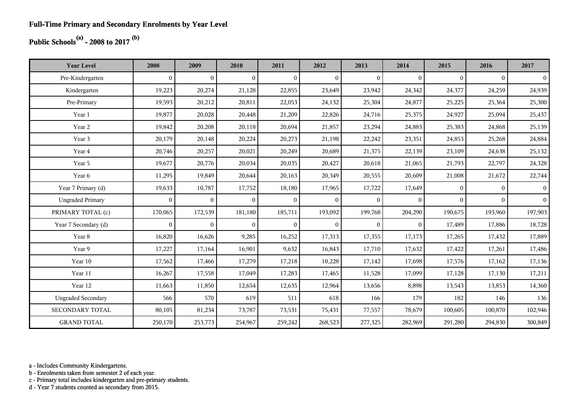## **Public Schools(a) - 2008 to 2017 (b)**

| <b>Year Level</b>         | 2008         | 2009           | 2010           | 2011           | 2012           | 2013         | 2014         | 2015         | 2016         | 2017           |
|---------------------------|--------------|----------------|----------------|----------------|----------------|--------------|--------------|--------------|--------------|----------------|
| Pre-Kindergarten          | $\mathbf{0}$ | $\overline{0}$ | $\overline{0}$ | $\overline{0}$ | $\overline{0}$ | $\mathbf{0}$ | $\mathbf{0}$ | $\mathbf{0}$ | $\mathbf{0}$ | $\overline{0}$ |
| Kindergarten              | 19,223       | 20,274         | 21,128         | 22,855         | 23,649         | 23,942       | 24,342       | 24,377       | 24,259       | 24,939         |
| Pre-Primary               | 19,593       | 20,212         | 20,811         | 22,053         | 24,132         | 25,304       | 24,877       | 25,225       | 25,364       | 25,300         |
| Year 1                    | 19,877       | 20,028         | 20,448         | 21,209         | 22,826         | 24,716       | 25,375       | 24,927       | 25,094       | 25,437         |
| Year 2                    | 19,842       | 20,208         | 20,118         | 20,694         | 21,857         | 23,294       | 24,883       | 25,383       | 24,868       | 25,139         |
| Year 3                    | 20,179       | 20,148         | 20,224         | 20,273         | 21,198         | 22,242       | 23,351       | 24,853       | 25,268       | 24,884         |
| Year 4                    | 20,746       | 20,257         | 20,021         | 20,249         | 20,689         | 21,375       | 22,139       | 23,109       | 24,638       | 25,132         |
| Year 5                    | 19,677       | 20,776         | 20,034         | 20,035         | 20,427         | 20,618       | 21,065       | 21,793       | 22,797       | 24,328         |
| Year 6                    | 11,295       | 19,849         | 20,644         | 20,163         | 20,349         | 20,555       | 20,609       | 21,008       | 21,672       | 22,744         |
| Year 7 Primary (d)        | 19,633       | 10,787         | 17,752         | 18,180         | 17,965         | 17,722       | 17,649       | $\Omega$     | $\Omega$     | $\vert$ 0      |
| <b>Ungraded Primary</b>   | $\mathbf{0}$ | $\mathbf{0}$   | $\overline{0}$ | $\overline{0}$ | $\overline{0}$ | $\mathbf{0}$ | $\mathbf{0}$ | $\mathbf{0}$ | $\mathbf{0}$ | $\vert$ 0      |
| PRIMARY TOTAL (c)         | 170,065      | 172,539        | 181,180        | 185,711        | 193,092        | 199,768      | 204,290      | 190,675      | 193,960      | 197,903        |
| Year 7 Secondary (d)      | $\mathbf{0}$ | $\overline{0}$ | $\overline{0}$ | $\overline{0}$ | $\overline{0}$ | $\mathbf{0}$ | $\mathbf{0}$ | 17,489       | 17,886       | 18,728         |
| Year 8                    | 16,820       | 16,626         | 9,285          | 16,252         | 17,313         | 17,355       | 17,173       | 17,265       | 17,432       | 17,889         |
| Year 9                    | 17,227       | 17,164         | 16,901         | 9,632          | 16,843         | 17,710       | 17,632       | 17,422       | 17,261       | 17,486         |
| Year 10                   | 17,562       | 17,466         | 17,279         | 17,218         | 10,228         | 17,142       | 17,698       | 17,576       | 17,162       | 17,136         |
| Year 11                   | 16,267       | 17,558         | 17,049         | 17,283         | 17,465         | 11,528       | 17,099       | 17,128       | 17,130       | 17,211         |
| Year 12                   | 11,663       | 11,850         | 12,654         | 12,635         | 12,964         | 13,656       | 8,898        | 13,543       | 13,853       | 14,360         |
| <b>Ungraded Secondary</b> | 566          | 570            | 619            | 511            | 618            | 166          | 179          | 182          | 146          | 136            |
| <b>SECONDARY TOTAL</b>    | 80,105       | 81,234         | 73,787         | 73,531         | 75,431         | 77,557       | 78,679       | 100,605      | 100,870      | 102,946        |
| <b>GRAND TOTAL</b>        | 250,170      | 253,773        | 254,967        | 259,242        | 268,523        | 277,325      | 282,969      | 291,280      | 294,830      | 300,849        |

a - Includes Community Kindergartens.

b - Enrolments taken from semester 2 of each year.

c - Primary total includes kindergarten and pre-primary students.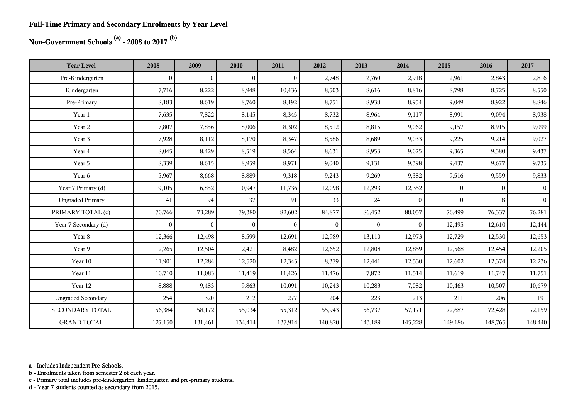#### **Full-Time Primary and Secondary Enrolments by Year Level**

## **Non-Government Schools (a) - 2008 to 2017 (b)**

| <b>Year Level</b>         | 2008             | 2009           | 2010           | 2011           | 2012     | 2013     | 2014     | 2015         | 2016           | 2017           |
|---------------------------|------------------|----------------|----------------|----------------|----------|----------|----------|--------------|----------------|----------------|
| Pre-Kindergarten          | $\boldsymbol{0}$ | $\overline{0}$ | $\overline{0}$ | $\overline{0}$ | 2,748    | 2,760    | 2,918    | 2,961        | 2,843          | 2,816          |
| Kindergarten              | 7,716            | 8,222          | 8,948          | 10,436         | 8,503    | 8,616    | 8,816    | 8,798        | 8,725          | 8,550          |
| Pre-Primary               | 8,183            | 8,619          | 8,760          | 8,492          | 8,751    | 8,938    | 8,954    | 9,049        | 8,922          | 8,846          |
| Year 1                    | 7,635            | 7,822          | 8,145          | 8,345          | 8,732    | 8,964    | 9,117    | 8,991        | 9,094          | 8,938          |
| Year 2                    | 7,807            | 7,856          | 8,006          | 8,302          | 8,512    | 8,815    | 9,062    | 9,157        | 8,915          | 9,099          |
| Year 3                    | 7,928            | 8,112          | 8,170          | 8,347          | 8,586    | 8,689    | 9,033    | 9,225        | 9,214          | 9,027          |
| Year 4                    | 8,045            | 8,429          | 8,519          | 8,564          | 8,631    | 8,953    | 9,025    | 9,365        | 9,380          | 9,437          |
| Year 5                    | 8,339            | 8,615          | 8,959          | 8,971          | 9,040    | 9,131    | 9,398    | 9,437        | 9,677          | 9,735          |
| Year 6                    | 5,967            | 8,668          | 8,889          | 9,318          | 9,243    | 9,269    | 9,382    | 9,516        | 9,559          | 9,833          |
| Year 7 Primary (d)        | 9,105            | 6,852          | 10,947         | 11,736         | 12,098   | 12,293   | 12,352   | $\mathbf{0}$ | $\overline{0}$ | 0 <sup>1</sup> |
| <b>Ungraded Primary</b>   | 41               | 94             | 37             | 91             | 33       | 24       | $\theta$ | $\Omega$     | 8              | $\overline{0}$ |
| PRIMARY TOTAL (c)         | 70,766           | 73,289         | 79,380         | 82,602         | 84,877   | 86,452   | 88,057   | 76,499       | 76,337         | 76,281         |
| Year 7 Secondary (d)      | $\mathbf{0}$     | $\overline{0}$ | $\overline{0}$ | $\overline{0}$ | $\theta$ | $\theta$ | $\theta$ | 12,495       | 12,610         | 12,444         |
| Year 8                    | 12,366           | 12,498         | 8,599          | 12,691         | 12,989   | 13,110   | 12,973   | 12,729       | 12,530         | 12,653         |
| Year 9                    | 12,265           | 12,504         | 12,421         | 8,482          | 12,652   | 12,808   | 12,859   | 12,568       | 12,454         | 12,205         |
| Year 10                   | 11,901           | 12,284         | 12,520         | 12,345         | 8,379    | 12,441   | 12,530   | 12,602       | 12,374         | 12,236         |
| Year 11                   | 10,710           | 11,083         | 11,419         | 11,426         | 11,476   | 7,872    | 11,514   | 11,619       | 11,747         | 11,751         |
| Year 12                   | 8,888            | 9,483          | 9,863          | 10,091         | 10,243   | 10,283   | 7,082    | 10,463       | 10,507         | 10,679         |
| <b>Ungraded Secondary</b> | 254              | 320            | 212            | 277            | 204      | 223      | 213      | 211          | 206            | 191            |
| <b>SECONDARY TOTAL</b>    | 56,384           | 58,172         | 55,034         | 55,312         | 55,943   | 56,737   | 57,171   | 72,687       | 72,428         | 72,159         |
| <b>GRAND TOTAL</b>        | 127,150          | 131,461        | 134,414        | 137,914        | 140,820  | 143,189  | 145,228  | 149,186      | 148,765        | 148,440        |

a - Includes Independent Pre-Schools.

b - Enrolments taken from semester 2 of each year.

c - Primary total includes pre-kindergarten, kindergarten and pre-primary students.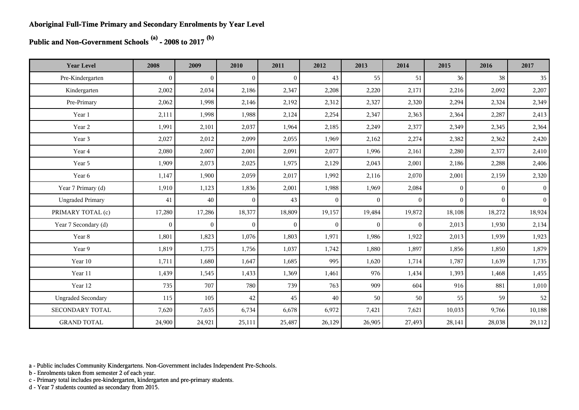**Public and Non-Government Schools (a) - 2008 to 2017 (b)**

| <b>Year Level</b>         | 2008           | 2009           | 2010           | 2011           | 2012           | 2013         | 2014             | 2015         | 2016         | 2017            |
|---------------------------|----------------|----------------|----------------|----------------|----------------|--------------|------------------|--------------|--------------|-----------------|
| Pre-Kindergarten          | $\overline{0}$ | $\overline{0}$ | $\overline{0}$ | $\overline{0}$ | 43             | 55           | 51               | 36           | 38           | 35              |
| Kindergarten              | 2,002          | 2,034          | 2,186          | 2,347          | 2,208          | 2,220        | 2,171            | 2,216        | 2,092        | 2,207           |
| Pre-Primary               | 2,062          | 1,998          | 2,146          | 2,192          | 2,312          | 2,327        | 2,320            | 2,294        | 2,324        | 2,349           |
| Year 1                    | 2,111          | 1,998          | 1,988          | 2,124          | 2,254          | 2,347        | 2,363            | 2,364        | 2,287        | 2,413           |
| Year 2                    | 1,991          | 2,101          | 2,037          | 1,964          | 2,185          | 2,249        | 2,377            | 2,349        | 2,345        | 2,364           |
| Year 3                    | 2,027          | 2,012          | 2,099          | 2,055          | 1,969          | 2,162        | 2,274            | 2,382        | 2,362        | 2,420           |
| Year 4                    | 2,080          | 2,007          | 2,001          | 2,091          | 2,077          | 1,996        | 2,161            | 2,280        | 2,377        | 2,410           |
| Year 5                    | 1,909          | 2,073          | 2,025          | 1,975          | 2,129          | 2,043        | 2,001            | 2,186        | 2,288        | 2,406           |
| Year 6                    | 1,147          | 1,900          | 2,059          | 2,017          | 1,992          | 2,116        | 2,070            | 2,001        | 2,159        | 2,320           |
| Year 7 Primary (d)        | 1,910          | 1,123          | 1,836          | 2,001          | 1,988          | 1,969        | 2,084            | $\mathbf{0}$ | $\mathbf{0}$ | $\vert 0 \vert$ |
| <b>Ungraded Primary</b>   | 41             | 40             | $\overline{0}$ | 43             | $\overline{0}$ | $\mathbf{0}$ | $\theta$         | $\Omega$     | $\Omega$     | $\vert$         |
| PRIMARY TOTAL (c)         | 17,280         | 17,286         | 18,377         | 18,809         | 19,157         | 19,484       | 19,872           | 18,108       | 18,272       | 18,924          |
| Year 7 Secondary (d)      | $\overline{0}$ | $\overline{0}$ | $\mathbf{0}$   | $\mathbf{0}$   | $\mathbf{0}$   | $\mathbf{0}$ | $\boldsymbol{0}$ | 2,013        | 1,930        | 2,134           |
| Year 8                    | 1,801          | 1,823          | 1,076          | 1,803          | 1,971          | 1,986        | 1,922            | 2,013        | 1,939        | 1,923           |
| Year 9                    | 1,819          | 1,775          | 1,756          | 1,037          | 1,742          | 1,880        | 1,897            | 1,856        | 1,850        | 1,879           |
| Year 10                   | 1,711          | 1,680          | 1,647          | 1,685          | 995            | 1,620        | 1,714            | 1,787        | 1,639        | 1,735           |
| Year 11                   | 1,439          | 1,545          | 1,433          | 1,369          | 1,461          | 976          | 1,434            | 1,393        | 1,468        | 1,455           |
| Year 12                   | 735            | 707            | 780            | 739            | 763            | 909          | 604              | 916          | 881          | 1,010           |
| <b>Ungraded Secondary</b> | 115            | 105            | 42             | 45             | 40             | 50           | 50               | 55           | 59           | 52              |
| SECONDARY TOTAL           | 7,620          | 7,635          | 6,734          | 6,678          | 6,972          | 7,421        | 7,621            | 10,033       | 9,766        | 10,188          |
| <b>GRAND TOTAL</b>        | 24,900         | 24,921         | 25,111         | 25,487         | 26,129         | 26,905       | 27,493           | 28,141       | 28,038       | 29,112          |

a - Public includes Community Kindergartens. Non-Government includes Independent Pre-Schools.

b - Enrolments taken from semester 2 of each year.

c - Primary total includes pre-kindergarten, kindergarten and pre-primary students.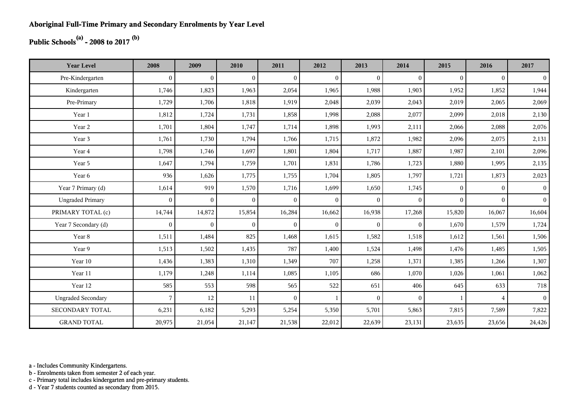## **Public Schools(a) - 2008 to 2017 (b)**

| <b>Year Level</b>         | 2008         | 2009           | 2010           | 2011         | 2012           | 2013         | 2014         | 2015     | 2016           | 2017           |
|---------------------------|--------------|----------------|----------------|--------------|----------------|--------------|--------------|----------|----------------|----------------|
| Pre-Kindergarten          | $\theta$     | $\overline{0}$ | $\overline{0}$ | $\Omega$     | $\mathbf{0}$   | $\theta$     | $\mathbf{0}$ | $\Omega$ | $\theta$       | $\overline{0}$ |
| Kindergarten              | 1,746        | 1,823          | 1,963          | 2,054        | 1,965          | 1,988        | 1,903        | 1,952    | 1,852          | 1,944          |
| Pre-Primary               | 1,729        | 1,706          | 1,818          | 1,919        | 2,048          | 2,039        | 2,043        | 2,019    | 2,065          | 2,069          |
| Year 1                    | 1,812        | 1,724          | 1,731          | 1,858        | 1,998          | 2,088        | 2,077        | 2,099    | 2,018          | 2,130          |
| Year 2                    | 1,701        | 1,804          | 1,747          | 1,714        | 1,898          | 1,993        | 2,111        | 2,066    | 2,088          | 2,076          |
| Year 3                    | 1,761        | 1,730          | 1,794          | 1,766        | 1,715          | 1,872        | 1,982        | 2,096    | 2,075          | 2,131          |
| Year 4                    | 1,798        | 1,746          | 1,697          | 1,801        | 1,804          | 1,717        | 1,887        | 1,987    | 2,101          | 2,096          |
| Year 5                    | 1,647        | 1,794          | 1,759          | 1,701        | 1,831          | 1,786        | 1,723        | 1,880    | 1,995          | 2,135          |
| Year 6                    | 936          | 1,626          | 1,775          | 1,755        | 1,704          | 1,805        | 1,797        | 1,721    | 1,873          | 2,023          |
| Year 7 Primary (d)        | 1,614        | 919            | 1,570          | 1,716        | 1,699          | 1,650        | 1,745        | $\Omega$ | $\theta$       | 0 <sup>1</sup> |
| <b>Ungraded Primary</b>   | $\mathbf{0}$ | $\overline{0}$ | $\mathbf{0}$   | $\mathbf{0}$ | $\overline{0}$ | $\mathbf{0}$ | $\mathbf{0}$ | $\Omega$ | $\Omega$       | 0 <sup>1</sup> |
| PRIMARY TOTAL (c)         | 14,744       | 14,872         | 15,854         | 16,284       | 16,662         | 16,938       | 17,268       | 15,820   | 16,067         | 16,604         |
| Year 7 Secondary (d)      | $\mathbf{0}$ | $\mathbf{0}$   | $\overline{0}$ | $\mathbf{0}$ | $\overline{0}$ | $\mathbf{0}$ | $\mathbf{0}$ | 1,670    | 1,579          | 1,724          |
| Year 8                    | 1,511        | 1,484          | 825            | 1,468        | 1,615          | 1,582        | 1,518        | 1,612    | 1,561          | 1,506          |
| Year 9                    | 1,513        | 1,502          | 1,435          | 787          | 1,400          | 1,524        | 1,498        | 1,476    | 1,485          | 1,505          |
| Year 10                   | 1,436        | 1,383          | 1,310          | 1,349        | 707            | 1,258        | 1,371        | 1,385    | 1,266          | 1,307          |
| Year 11                   | 1,179        | 1,248          | 1,114          | 1,085        | 1,105          | 686          | 1,070        | 1,026    | 1,061          | 1,062          |
| Year 12                   | 585          | 553            | 598            | 565          | 522            | 651          | 406          | 645      | 633            | 718            |
| <b>Ungraded Secondary</b> | 7            | 12             | 11             | $\Omega$     | $\mathbf{1}$   | $\theta$     | $\mathbf{0}$ |          | $\overline{4}$ | 0 <sup>1</sup> |
| <b>SECONDARY TOTAL</b>    | 6,231        | 6,182          | 5,293          | 5,254        | 5,350          | 5,701        | 5,863        | 7,815    | 7,589          | 7,822          |
| <b>GRAND TOTAL</b>        | 20,975       | 21,054         | 21,147         | 21,538       | 22,012         | 22,639       | 23,131       | 23,635   | 23,656         | 24,426         |

a - Includes Community Kindergartens.

b - Enrolments taken from semester 2 of each year.

c - Primary total includes kindergarten and pre-primary students.